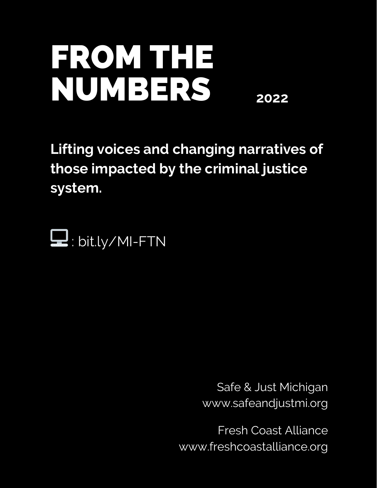## FROM THE NUMBERS **2022**

**Lifting voices and changing narratives of those impacted by the criminal justice system.**



Safe & Just Michigan www.safeandjustmi.org

Fresh Coast Alliance www.freshcoastalliance.org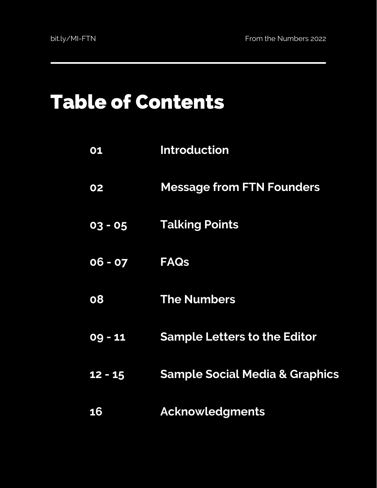### Table of Contents

| 01        | <b>Introduction</b>                       |
|-----------|-------------------------------------------|
| 02        | <b>Message from FTN Founders</b>          |
| 03 - 05   | <b>Talking Points</b>                     |
| $06 - 07$ | <b>FAQs</b>                               |
| 08        | <b>The Numbers</b>                        |
| $09 - 11$ | <b>Sample Letters to the Editor</b>       |
| $12 - 15$ | <b>Sample Social Media &amp; Graphics</b> |
| 16        | <b>Acknowledgments</b>                    |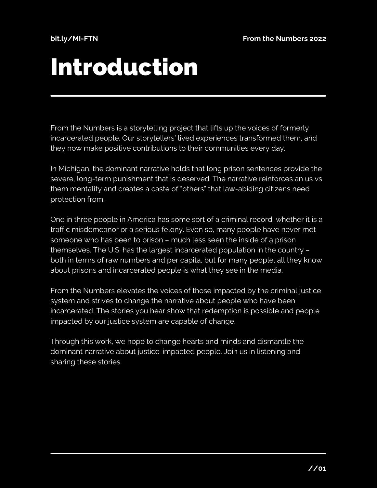## Introduction

From the Numbers is a storytelling project that lifts up the voices of formerly incarcerated people. Our storytellers' lived experiences transformed them, and they now make positive contributions to their communities every day.

In Michigan, the dominant narrative holds that long prison sentences provide the severe, long-term punishment that is deserved. The narrative reinforces an us vs them mentality and creates a caste of "others" that law-abiding citizens need protection from.

One in three people in America has some sort of a criminal record, whether it is a traffic misdemeanor or a serious felony. Even so, many people have never met someone who has been to prison – much less seen the inside of a prison themselves. The U.S. has the largest incarcerated population in the country – both in terms of raw numbers and per capita, but for many people, all they know about prisons and incarcerated people is what they see in the media.

From the Numbers elevates the voices of those impacted by the criminal justice system and strives to change the narrative about people who have been incarcerated. The stories you hear show that redemption is possible and people impacted by our justice system are capable of change.

Through this work, we hope to change hearts and minds and dismantle the dominant narrative about justice-impacted people. Join us in listening and sharing these stories.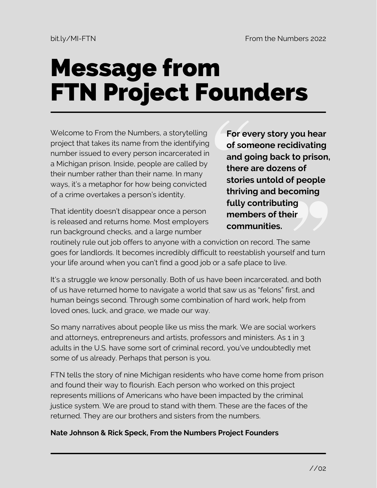## Message from FTN Project Founders

Welcome to From the Numbers, a storytelling project that takes its name from the identifying number issued to every person incarcerated in a Michigan prison. Inside, people are called by their number rather than their name. In many ways, it's a metaphor for how being convicted of a crime overtakes a person's identity.

That identity doesn't disappear once a person is released and returns home. Most employers run background checks, and a large number

**For every story you hear of someone recidivating and going back to prison, there are dozens of stories untold of people thriving and becoming fully contributing members of their communities.**

routinely rule out job offers to anyone with a conviction on record. The same goes for landlords. It becomes incredibly difficult to reestablish yourself and turn your life around when you can't find a good job or a safe place to live.

It's a struggle we know personally. Both of us have been incarcerated, and both of us have returned home to navigate a world that saw us as "felons" first, and human beings second. Through some combination of hard work, help from loved ones, luck, and grace, we made our way.

So many narratives about people like us miss the mark. We are social workers and attorneys, entrepreneurs and artists, professors and ministers. As 1 in 3 adults in the U.S. have some sort of criminal record, you've undoubtedly met some of us already. Perhaps that person is you.

FTN tells the story of nine Michigan residents who have come home from prison and found their way to flourish. Each person who worked on this project represents millions of Americans who have been impacted by the criminal justice system. We are proud to stand with them. These are the faces of the returned. They are our brothers and sisters from the numbers.

#### **Nate Johnson & Rick Speck, From the Numbers Project Founders**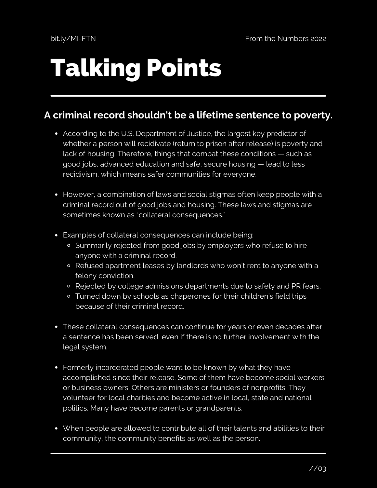# Talking Points

### **A criminal record shouldn't be a lifetime sentence to poverty.**

- According to the U.S. Department of Justice, the largest key predictor of whether a person will recidivate (return to prison after release) is poverty and lack of housing. Therefore, things that combat these conditions — such as good jobs, advanced education and safe, secure housing — lead to less recidivism, which means safer communities for everyone.
- However, a combination of laws and social stigmas often keep people with a criminal record out of good jobs and housing. These laws and stigmas are sometimes known as "collateral consequences."
- Examples of collateral consequences can include being:
	- o Summarily rejected from good jobs by employers who refuse to hire anyone with a criminal record.
	- Refused apartment leases by landlords who won't rent to anyone with a felony conviction.
	- Rejected by college admissions departments due to safety and PR fears.
	- Turned down by schools as chaperones for their children's field trips because of their criminal record.
- These collateral consequences can continue for years or even decades after a sentence has been served, even if there is no further involvement with the legal system.
- Formerly incarcerated people want to be known by what they have accomplished since their release. Some of them have become social workers or business owners. Others are ministers or founders of nonprofits. They volunteer for local charities and become active in local, state and national politics. Many have become parents or grandparents.
- When people are allowed to contribute all of their talents and abilities to their community, the community benefits as well as the person.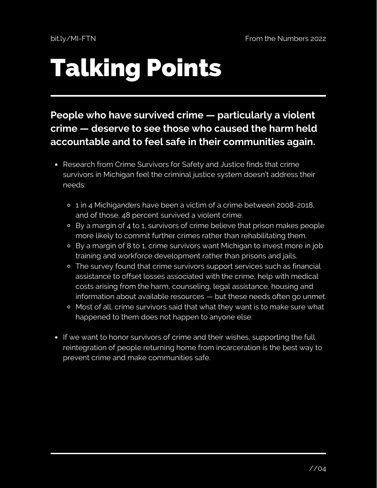# Talking Points

### **People who have survived crime [—](https://cepr.net/images/stories/reports/employment-prisoners-felonies-2016-06.pdf) particularly a violent crime [—](https://cepr.net/images/stories/reports/employment-prisoners-felonies-2016-06.pdf) deserve to see those who caused the harm held accountable and to feel safe in their communities again.**

- Research from Crime [Survivors](https://allianceforsafetyandjustice.org/wp-content/uploads/2018/07/ASJ_MichiganCrimeSurvivorBrief-F2-ONLINE.pdf) for Safety and Justice finds that crime survivors in Michigan feel the criminal justice system doesn't address their needs:
	- <sup>o</sup> 1 in 4 Michiganders have been a victim of a crime between 2008-2018, and of those, 48 percent survived a violent crime.
	- By a margin of 4 to 1, survivors of crime believe that prison makes people more likely to commit further crimes rather than rehabilitating them.
	- By a margin of 8 to 1, crime survivors want Michigan to invest more in job training and workforce development rather than prisons and jails.
	- The survey found that crime survivors support services such as financial assistance to offset losses associated with the crime, help with medical costs arising from the harm, counseling, legal assistance, housing and information about available resources — but these needs often go unmet.
	- Most of all, crime survivors said that what they want is to make sure what happened to them does not happen to anyone else.
- If we want to honor survivors of crime and their wishes, supporting the full reintegration of people returning home from incarceration is the best way to prevent crime and make communities safe.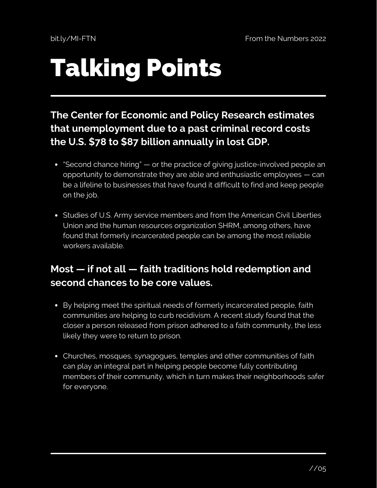# Talking Points

### **The Center for [Economic](https://cepr.net/images/stories/reports/employment-prisoners-felonies-2016-06.pdf) and Policy Research estimates that unemployment due to a past criminal record costs the U.S. \$78 to \$87 billion annually in lost GDP.**

- "Second chance hiring" or the practice of giving justice-involved people an opportunity to demonstrate they are able and enthusiastic employees — can be a lifeline to businesses that have found it difficult to find and keep people on the job.
- Studies of U.S. Army service [members](https://www.umass.edu/news/article/new-research-umass-amherst-sociologist-2) and from the American Civil Liberties Union and the human resources [organization](https://www.aclu.org/press-releases/aclu-report-makes-business-case-hiring-formerly-incarcerated-people) SHRM, among others, have found that formerly incarcerated people can be among the most reliable workers available.

### **Most — if not all — faith traditions hold [redemption](https://cepr.net/images/stories/reports/employment-prisoners-felonies-2016-06.pdf) and second chances to be core values.**

- By helping meet the spiritual needs of formerly incarcerated people, faith [communities](https://www.aei.org/poverty-studies/the-light-inside-and-out-new-findings-on-faith-and-re-entry/) are helping to curb recidivism. A recent study found that the closer a person released from prison adhered to a faith community, the less likely they were to return to prison.
- Churches, mosques, synagogues, temples and other communities of faith can play an integral part in helping people become fully contributing members of their community, which in turn makes their neighborhoods safer for everyone.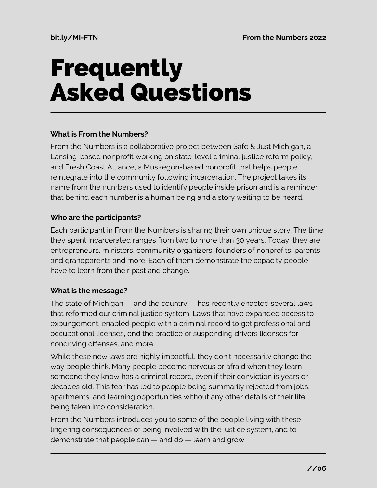## Frequently Asked Questions

#### **What is From the Numbers?**

From the Numbers is a collaborative project between Safe & Just Michigan, a Lansing-based nonprofit working on state-level criminal justice reform policy, and Fresh Coast Alliance, a Muskegon-based nonprofit that helps people reintegrate into the community following incarceration. The project takes its name from the numbers used to identify people inside prison and is a reminder that behind each number is a human being and a story waiting to be heard.

#### **Who are the participants?**

Each participant in From the Numbers is sharing their own unique story. The time they spent incarcerated ranges from two to more than 30 years. Today, they are entrepreneurs, ministers, community organizers, founders of nonprofits, parents and grandparents and more. Each of them demonstrate the capacity people have to learn from their past and change.

### **What is the message?**

The state of Michigan — and the country — has recently enacted several laws that reformed our criminal justice system. Laws that have expanded access to expungement, enabled people with a criminal record to get professional and occupational licenses, end the practice of suspending drivers licenses for nondriving offenses, and more.

While these new laws are highly impactful, they don't necessarily change the way people think. Many people become nervous or afraid when they learn someone they know has a criminal record, even if their conviction is years or decades old. This fear has led to people being summarily rejected from jobs, apartments, and learning opportunities without any other details of their life being taken into consideration.

From the Numbers introduces you to some of the people living with these lingering consequences of being involved with the justice system, and to demonstrate that people can — and do — learn and grow.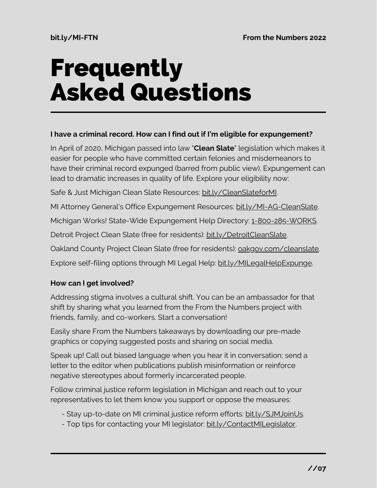## Frequently Asked Questions

#### **I have a criminal record. How can I find out if I'm eligible for expungement?**

In April of 2020, Michigan passed into law "**Clean Slate**" legislation which makes it easier for people who have committed certain felonies and misdemeanors to have their criminal record expunged (barred from public view). Expungement can lead to dramatic increases in quality of life. Explore your eligibility now:

Safe & Just Michigan Clean Slate Resources: [bit.ly/CleanSlateforMI](http://bit.ly/CleanSlateforMI).

MI Attorney General's Office Expungement Resources: [bit.ly/MI-AG-CleanSlate](http://bit.ly/MI-AG-CleanSlate).

Michigan Works! State-Wide Expungement Help Directory: 1-800-285-WORKS.

Detroit Project Clean Slate (free for residents): [bit.ly/DetroitCleanSlate](https://bit.ly/DetroitCleanSlate).

Oakland County Project Clean Slate (free for residents): [oakgov.com/cleanslate.](https://www.oakgov.com/workforce/Pages/Clean-Slate.aspx)

Explore self-filing options through MI Legal Help: [bit.ly/MILegalHelpExpunge.](https://bit.ly/MILegalHelpExpunge)

### **How can I get involved?**

Addressing stigma involves a cultural shift. You can be an ambassador for that shift by sharing what you learned from the From the Numbers project with friends, family, and co-workers. Start a conversation!

Easily share From the Numbers takeaways by downloading our pre-made graphics or copying suggested posts and sharing on social media.

Speak up! Call out biased language when you hear it in conversation; send a letter to the editor when publications publish misinformation or reinforce negative stereotypes about formerly incarcerated people.

Follow criminal justice reform legislation in Michigan and reach out to your representatives to let them know you support or oppose the measures:

- Stay up-to-date on MI criminal justice reform efforts: [bit.ly/SJMJoinUs](https://app.etapestry.com/onlineforms/SafeandJustMichigan/signup.html).
- Top tips for contacting your MI legislator: [bit.ly/ContactMILegislator.](https://bit.ly/ContactMILegislator)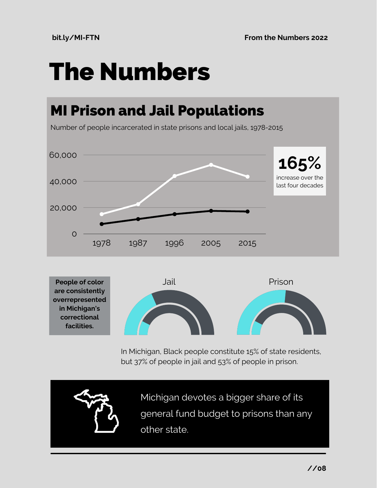## The Numbers

### MI Prison and Jail Populations

Number of people incarcerated in state prisons and local jails, 1978-2015



**People of color are consistently overrepresented in Michigan's correctional facilities.**



In Michigan, Black people constitute 15% of state residents, but 37% of people in jail and 53% of people in prison.

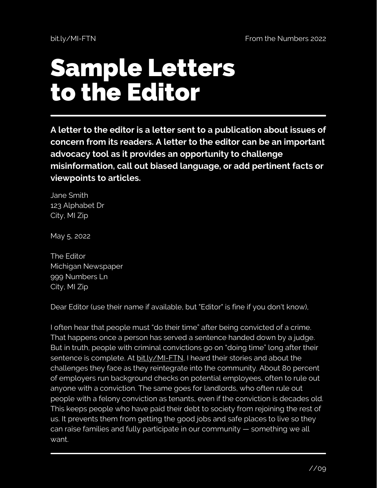## Sample Letters to the Editor

**A letter to the editor is a letter sent to a publication about issues of concern from its readers. A letter to the editor can be an important advocacy tool as it provides an opportunity to challenge misinformation, call out biased language, or add pertinent facts or viewpoints to articles.**

Jane Smith 123 Alphabet Dr City, MI Zip

May 5, 2022

The Editor Michigan Newspaper 999 Numbers Ln City, MI Zip

Dear Editor (use their name if available, but "Editor" is fine if you don't know),

I often hear that people must "do their time" after being convicted of a crime. That happens once a person has served a sentence handed down by a judge. But in truth, people with criminal convictions go on "doing time" long after their sentence is complete. At bit.ly/MI-FTN, I heard their stories and about the challenges they face as they reintegrate into the community. About 80 percent of employers run background checks on potential employees, often to rule out anyone with a conviction. The same goes for landlords, who often rule out people with a felony conviction as tenants, even if the conviction is decades old. This keeps people who have paid their debt to society from rejoining the rest of us. It prevents them from getting the good jobs and safe places to live so they can raise families and fully participate in our community — something we all want.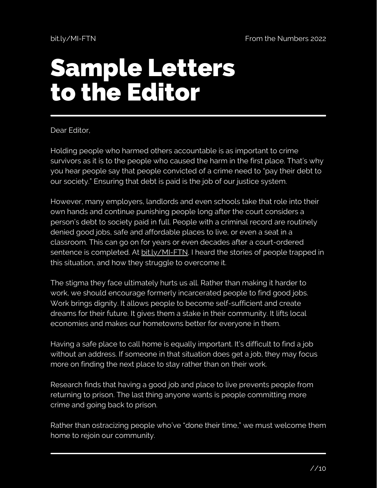## Sample Letters to the Editor

Dear Editor,

Holding people who harmed others accountable is as important to crime survivors as it is to the people who caused the harm in the first place. That's why you hear people say that people convicted of a crime need to "pay their debt to our society." Ensuring that debt is paid is the job of our justice system.

However, many employers, landlords and even schools take that role into their own hands and continue punishing people long after the court considers a person's debt to society paid in full. People with a criminal record are routinely denied good jobs, safe and affordable places to live, or even a seat in a classroom. This can go on for years or even decades after a court-ordered sentence is completed. At bit.ly/MI-FTN, I heard the stories of people trapped in this situation, and how they struggle to overcome it.

The stigma they face ultimately hurts us all. Rather than making it harder to work, we should encourage formerly incarcerated people to find good jobs. Work brings dignity. It allows people to become self-sufficient and create dreams for their future. It gives them a stake in their community. It lifts local economies and makes our hometowns better for everyone in them.

Having a safe place to call home is equally important. It's difficult to find a job without an address. If someone in that situation does get a job, they may focus more on finding the next place to stay rather than on their work.

Research finds that having a good job and place to live prevents people from returning to prison. The last thing anyone wants is people committing more crime and going back to prison.

Rather than ostracizing people who've "done their time," we must welcome them home to rejoin our community.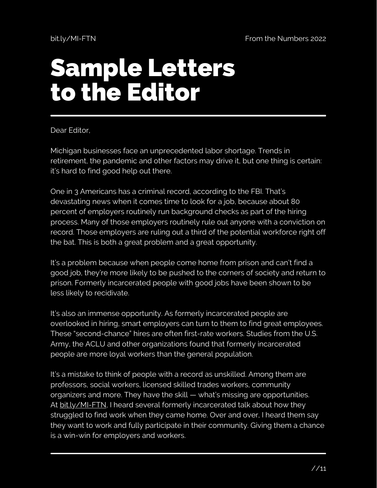## Sample Letters to the Editor

Dear Editor,

Michigan businesses face an unprecedented labor shortage. Trends in retirement, the pandemic and other factors may drive it, but one thing is certain: it's hard to find good help out there.

One in 3 Americans has a criminal record, according to the FBI. That's devastating news when it comes time to look for a job, because about 80 percent of employers routinely run background checks as part of the hiring process. Many of those employers routinely rule out anyone with a conviction on record. Those employers are ruling out a third of the potential workforce right off the bat. This is both a great problem and a great opportunity.

It's a problem because when people come home from prison and can't find a good job, they're more likely to be pushed to the corners of society and return to prison. Formerly incarcerated people with good jobs have been shown to be less likely to recidivate.

It's also an immense opportunity. As formerly incarcerated people are overlooked in hiring, smart employers can turn to them to find great employees. These "second-chance" hires are often first-rate workers. Studies from the U.S. Army, the ACLU and other organizations found that formerly incarcerated people are more loyal workers than the general population.

It's a mistake to think of people with a record as unskilled. Among them are professors, social workers, licensed skilled trades workers, community organizers and more. They have the skill — what's missing are opportunities. At bit.ly/MI-FTN, I heard several formerly incarcerated talk about how they struggled to find work when they came home. Over and over, I heard them say they want to work and fully participate in their community. Giving them a chance is a win-win for employers and workers.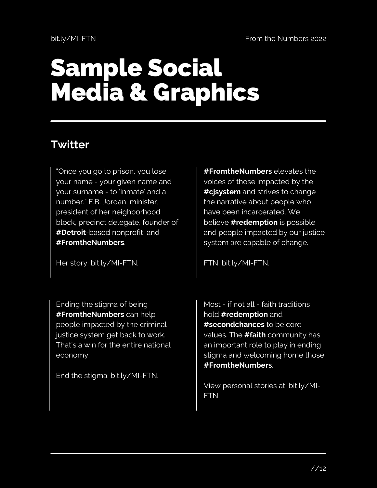## Sample Social Media & Graphics

### **Twitter**

"Once you go to prison, you lose your name - your given name and your surname - to 'inmate' and a number." E.B. Jordan, minister, president of her neighborhood block, precinct delegate, founder of **#Detroit**-based nonprofit, and **#FromtheNumbers**.

Her story: bit.ly/MI-FTN.

Ending the stigma of being **#FromtheNumbers** can help people impacted by the criminal justice system get back to work. That's a win for the entire national economy.

End the stigma: bit.ly/MI-FTN.

**#FromtheNumbers** elevates the voices of those impacted by the **#cjsystem** and strives to change the narrative about people who have been incarcerated. We believe **#redemption** is possible and people impacted by our justice system are capable of change.

FTN: bit.ly/MI-FTN.

Most - if not all - faith traditions hold **#redemption** and **#secondchances** to be core values. The **#faith** community has an important role to play in ending stigma and welcoming home those **#FromtheNumbers**.

View personal stories at: bit.ly/MI-FTN.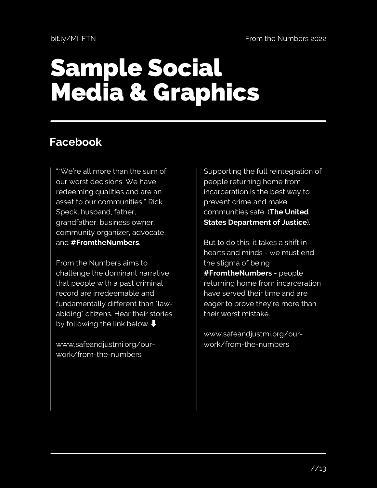## Sample Social Media & Graphics

### **Facebook**

""We're all more than the sum of our worst decisions. We have redeeming qualities and are an asset to our communities," Rick Speck, husband, father, grandfather, business owner, community organizer, advocate, and **#FromtheNumbers**.

From the Numbers aims to challenge the dominant narrative that people with a past criminal record are irredeemable and fundamentally different than "lawabiding" citizens. Hear their stories by following the link below  $\big\Downarrow$ 

www.safeandjustmi.org/ourwork/from-the-numbers

Supporting the full reintegration of people returning home from incarceration is the best way to prevent crime and make communities safe. (**The United States Department of Justice**).

But to do this, it takes a shift in hearts and minds - we must end the stigma of being **#FromtheNumbers** - people returning home from incarceration have served their time and are eager to prove they're more than their worst mistake.

www.safeandjustmi.org/ourwork/from-the-numbers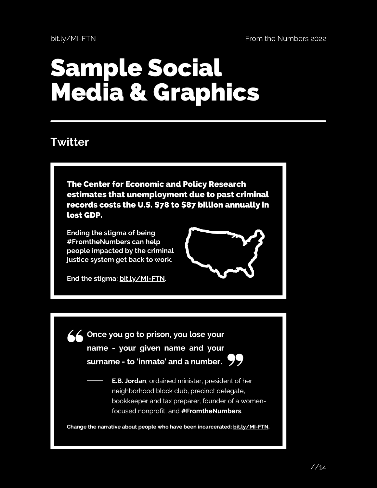## Sample Social Media & Graphics

### **Twitter**

**The Center for Economic and Policy Research** estimates that unemployment due to past criminal records costs the U.S. \$78 to \$87 billion annually in lost GDP.

Ending the stigma of being #FromtheNumbers can help people impacted by the criminal justice system get back to work.

End the stigma: bit.ly/MI-FTN.

66 Once you go to prison, you lose your name - your given name and your surname - to 'inmate' and a number.  $\sqrt{7}$ 



**E.B. Jordan**, ordained minister, president of her neighborhood block club, precinct delegate, bookkeeper and tax preparer, founder of a womenfocused nonprofit, and #FromtheNumbers.

Change the narrative about people who have been incarcerated: bit.ly/MI-FTN.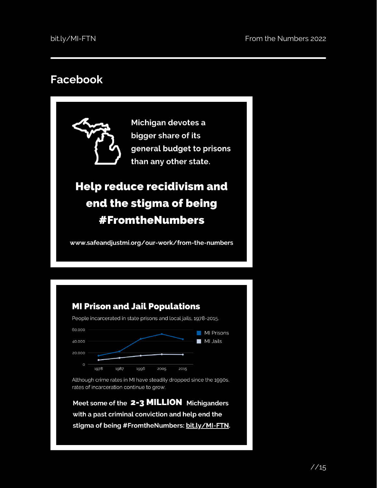### **Facebook**

Michigan devotes a bigger share of its general budget to prisons than any other state.

### **Help reduce recidivism and** end the stigma of being **#FromtheNumbers**

www.safeandjustmi.org/our-work/from-the-numbers

### **MI Prison and Jail Populations**

People incarcerated in state prisons and local jails, 1978-2015.



Although crime rates in MI have steadily dropped since the 1990s, rates of incarceration continue to grow.

Meet some of the 2-3 MILLION Michiganders with a past criminal conviction and help end the stigma of being #FromtheNumbers: bit.ly/MI-FTN.